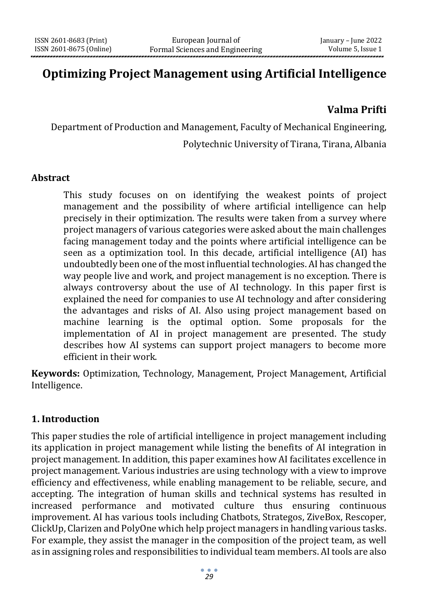# **Optimizing Project Management using Artificial Intelligence**

# **Valma Prifti**

Department of Production and Management, Faculty of Mechanical Engineering, Polytechnic University of Tirana, Tirana, Albania

#### **Abstract**

This study focuses on on identifying the weakest points of project management and the possibility of where artificial intelligence can help precisely in their optimization. The results were taken from a survey where project managers of various categories were asked about the main challenges facing management today and the points where artificial intelligence can be seen as a optimization tool. In this decade, artificial intelligence (AI) has undoubtedly been one of the most influential technologies. AI has changed the way people live and work, and project management is no exception. There is always controversy about the use of AI technology. In this paper first is explained the need for companies to use AI technology and after considering the advantages and risks of AI. Also using project management based on machine learning is the optimal option. Some proposals for the implementation of AI in project management are presented. The study describes how AI systems can support project managers to become more efficient in their work.

**Keywords:** Optimization, Technology, Management, Project Management, Artificial Intelligence.

#### **1. Introduction**

This paper studies the role of artificial intelligence in project management including its application in project management while listing the benefits of AI integration in project management. In addition, this paper examines how AI facilitates excellence in project management. Various industries are using technology with a view to improve efficiency and effectiveness, while enabling management to be reliable, secure, and accepting. The integration of human skills and technical systems has resulted in increased performance and motivated culture thus ensuring continuous improvement. AI has various tools including Chatbots, Strategos, ZiveBox, Rescoper, ClickUp, Clarizen and PolyOne which help project managers in handling various tasks. For example, they assist the manager in the composition of the project team, as well as in assigning roles and responsibilities to individual team members. AI tools are also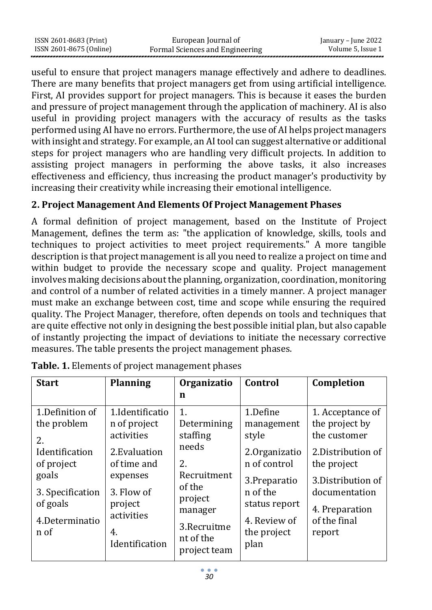| ISSN 2601-8683 (Print)  | European Journal of             | January – June 2022 |
|-------------------------|---------------------------------|---------------------|
| ISSN 2601-8675 (Online) | Formal Sciences and Engineering | Volume 5, Issue 1   |

useful to ensure that project managers manage effectively and adhere to deadlines. There are many benefits that project managers get from using artificial intelligence. First, AI provides support for project managers. This is because it eases the burden and pressure of project management through the application of machinery. AI is also useful in providing project managers with the accuracy of results as the tasks performed using AI have no errors. Furthermore, the use of AI helps project managers with insight and strategy. For example, an AI tool can suggest alternative or additional steps for project managers who are handling very difficult projects. In addition to assisting project managers in performing the above tasks, it also increases effectiveness and efficiency, thus increasing the product manager's productivity by increasing their creativity while increasing their emotional intelligence.

### **2. Project Management And Elements Of Project Management Phases**

A formal definition of project management, based on the Institute of Project Management, defines the term as: "the application of knowledge, skills, tools and techniques to project activities to meet project requirements." A more tangible description is that project management is all you need to realize a project on time and within budget to provide the necessary scope and quality. Project management involves making decisions about the planning, organization, coordination, monitoring and control of a number of related activities in a timely manner. A project manager must make an exchange between cost, time and scope while ensuring the required quality. The Project Manager, therefore, often depends on tools and techniques that are quite effective not only in designing the best possible initial plan, but also capable of instantly projecting the impact of deviations to initiate the necessary corrective measures. The table presents the project management phases.

| <b>Start</b>                                                                   | <b>Planning</b>                                                                           | Organizatio                                                              | Control                                                                           | Completion                                                                              |
|--------------------------------------------------------------------------------|-------------------------------------------------------------------------------------------|--------------------------------------------------------------------------|-----------------------------------------------------------------------------------|-----------------------------------------------------------------------------------------|
|                                                                                |                                                                                           | n                                                                        |                                                                                   |                                                                                         |
| 1. Definition of<br>the problem<br>2.<br>Identification<br>of project<br>goals | 1.Identificatio<br>n of project<br>activities<br>2. Evaluation<br>of time and<br>expenses | $1_{-}$<br>Determining<br>staffing<br>needs<br>2.<br>Recruitment         | 1.Define<br>management<br>style<br>2.0rganizatio<br>n of control                  | 1. Acceptance of<br>the project by<br>the customer<br>2. Distribution of<br>the project |
| 3. Specification<br>of goals<br>4.Determinatio<br>n of                         | 3. Flow of<br>project<br>activities<br>4.<br>Identification                               | of the<br>project<br>manager<br>3.Recruitme<br>nt of the<br>project team | 3. Preparatio<br>n of the<br>status report<br>4. Review of<br>the project<br>plan | 3. Distribution of<br>documentation<br>4. Preparation<br>of the final<br>report         |

|  |  |  | Table. 1. Elements of project management phases |
|--|--|--|-------------------------------------------------|
|--|--|--|-------------------------------------------------|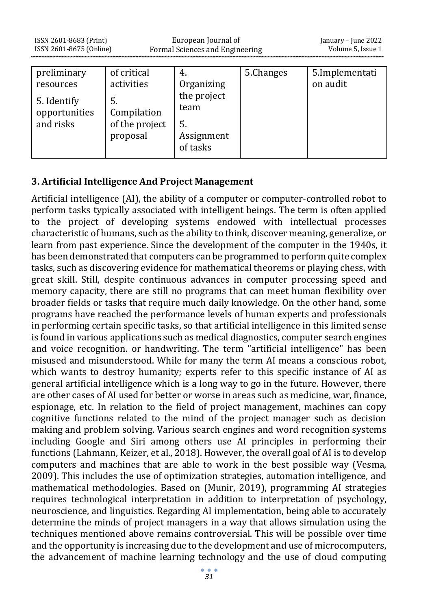| ISSN 2601-8683 (Print)                                                |                                                                              | European Journal of                                                     |           | January – June 2022        |
|-----------------------------------------------------------------------|------------------------------------------------------------------------------|-------------------------------------------------------------------------|-----------|----------------------------|
| ISSN 2601-8675 (Online)                                               |                                                                              | Formal Sciences and Engineering                                         |           | Volume 5, Issue 1          |
| preliminary<br>resources<br>5. Identify<br>opportunities<br>and risks | of critical<br>activities<br>5.<br>Compilation<br>of the project<br>proposal | 4.<br>Organizing<br>the project<br>team<br>5.<br>Assignment<br>of tasks | 5.Changes | 5.Implementati<br>on audit |

### **3. Artificial Intelligence And Project Management**

Artificial intelligence (AI), the ability of a computer or computer-controlled robot to perform tasks typically associated with intelligent beings. The term is often applied to the project of developing systems endowed with intellectual processes characteristic of humans, such as the ability to think, discover meaning, generalize, or learn from past experience. Since the development of the computer in the 1940s, it has been demonstrated that computers can be programmed to perform quite complex tasks, such as discovering evidence for mathematical theorems or playing chess, with great skill. Still, despite continuous advances in computer processing speed and memory capacity, there are still no programs that can meet human flexibility over broader fields or tasks that require much daily knowledge. On the other hand, some programs have reached the performance levels of human experts and professionals in performing certain specific tasks, so that artificial intelligence in this limited sense is found in various applications such as medical diagnostics, computer search engines and voice recognition. or handwriting. The term "artificial intelligence" has been misused and misunderstood. While for many the term AI means a conscious robot, which wants to destroy humanity; experts refer to this specific instance of AI as general artificial intelligence which is a long way to go in the future. However, there are other cases of AI used for better or worse in areas such as medicine, war, finance, espionage, etc. In relation to the field of project management, machines can copy cognitive functions related to the mind of the project manager such as decision making and problem solving. Various search engines and word recognition systems including Google and Siri among others use AI principles in performing their functions (Lahmann, Keizer, et al., 2018). However, the overall goal of AI is to develop computers and machines that are able to work in the best possible way (Vesma, 2009). This includes the use of optimization strategies, automation intelligence, and mathematical methodologies. Based on (Munir, 2019), programming AI strategies requires technological interpretation in addition to interpretation of psychology, neuroscience, and linguistics. Regarding AI implementation, being able to accurately determine the minds of project managers in a way that allows simulation using the techniques mentioned above remains controversial. This will be possible over time and the opportunity is increasing due to the development and use of microcomputers, the advancement of machine learning technology and the use of cloud computing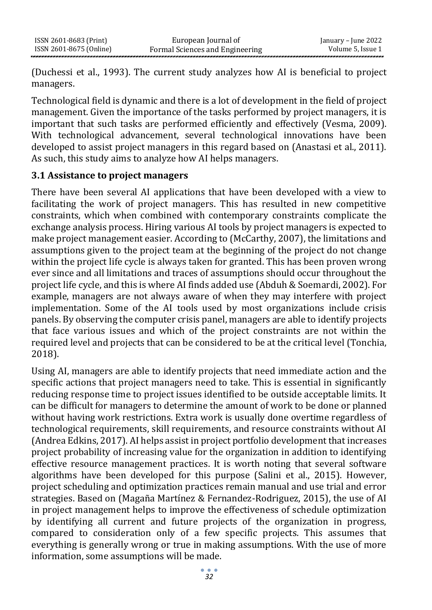(Duchessi et al., 1993). The current study analyzes how AI is beneficial to project managers.

Technological field is dynamic and there is a lot of development in the field of project management. Given the importance of the tasks performed by project managers, it is important that such tasks are performed efficiently and effectively (Vesma, 2009). With technological advancement, several technological innovations have been developed to assist project managers in this regard based on (Anastasi et al., 2011). As such, this study aims to analyze how AI helps managers.

#### **3.1 Assistance to project managers**

There have been several AI applications that have been developed with a view to facilitating the work of project managers. This has resulted in new competitive constraints, which when combined with contemporary constraints complicate the exchange analysis process. Hiring various AI tools by project managers is expected to make project management easier. According to (McCarthy, 2007), the limitations and assumptions given to the project team at the beginning of the project do not change within the project life cycle is always taken for granted. This has been proven wrong ever since and all limitations and traces of assumptions should occur throughout the project life cycle, and this is where AI finds added use (Abduh & Soemardi, 2002). For example, managers are not always aware of when they may interfere with project implementation. Some of the AI tools used by most organizations include crisis panels. By observing the computer crisis panel, managers are able to identify projects that face various issues and which of the project constraints are not within the required level and projects that can be considered to be at the critical level (Tonchia, 2018).

Using AI, managers are able to identify projects that need immediate action and the specific actions that project managers need to take. This is essential in significantly reducing response time to project issues identified to be outside acceptable limits. It can be difficult for managers to determine the amount of work to be done or planned without having work restrictions. Extra work is usually done overtime regardless of technological requirements, skill requirements, and resource constraints without AI (Andrea Edkins, 2017). AI helps assist in project portfolio development that increases project probability of increasing value for the organization in addition to identifying effective resource management practices. It is worth noting that several software algorithms have been developed for this purpose (Salini et al., 2015). However, project scheduling and optimization practices remain manual and use trial and error strategies. Based on (Magaña Martínez & Fernandez-Rodriguez, 2015), the use of AI in project management helps to improve the effectiveness of schedule optimization by identifying all current and future projects of the organization in progress, compared to consideration only of a few specific projects. This assumes that everything is generally wrong or true in making assumptions. With the use of more information, some assumptions will be made.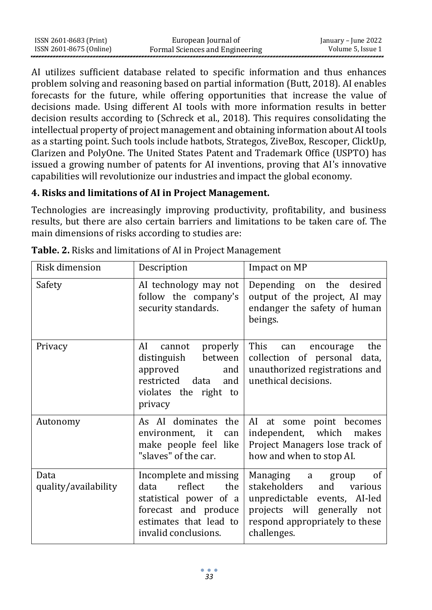| ISSN 2601-8683 (Print)  | European Journal of             | January – June 2022 |
|-------------------------|---------------------------------|---------------------|
| ISSN 2601-8675 (Online) | Formal Sciences and Engineering | Volume 5, Issue 1   |

AI utilizes sufficient database related to specific information and thus enhances problem solving and reasoning based on partial information (Butt, 2018). AI enables forecasts for the future, while offering opportunities that increase the value of decisions made. Using different AI tools with more information results in better decision results according to (Schreck et al., 2018). This requires consolidating the intellectual property of project management and obtaining information about AI tools as a starting point. Such tools include hatbots, Strategos, ZiveBox, Rescoper, ClickUp, Clarizen and PolyOne. The United States Patent and Trademark Office (USPTO) has issued a growing number of patents for AI inventions, proving that AI's innovative capabilities will revolutionize our industries and impact the global economy.

## **4. Risks and limitations of AI in Project Management.**

Technologies are increasingly improving productivity, profitability, and business results, but there are also certain barriers and limitations to be taken care of. The main dimensions of risks according to studies are:

| Risk dimension               | Description                                                                                                                                          | Impact on MP                                                                                                                                                                           |
|------------------------------|------------------------------------------------------------------------------------------------------------------------------------------------------|----------------------------------------------------------------------------------------------------------------------------------------------------------------------------------------|
| Safety                       | AI technology may not<br>follow the company's<br>security standards.                                                                                 | Depending on the desired<br>output of the project, AI may<br>endanger the safety of human<br>beings.                                                                                   |
| Privacy                      | AI<br>properly<br>cannot<br>distinguish<br>between<br>approved<br>and<br>restricted data<br>and<br>violates the right to<br>privacy                  | This<br>the<br>can<br>encourage<br>collection of personal data,<br>unauthorized registrations and<br>unethical decisions.                                                              |
| Autonomy                     | As AI dominates the<br>environment, it can<br>make people feel like<br>"slaves" of the car.                                                          | AI at some point becomes<br>independent, which<br>makes<br>Project Managers lose track of<br>how and when to stop AI.                                                                  |
| Data<br>quality/availability | Incomplete and missing<br>reflect<br>the<br>data<br>statistical power of a<br>forecast and produce<br>estimates that lead to<br>invalid conclusions. | <sub>of</sub><br>Managing a<br>group<br>stakeholders<br>and<br>various<br>unpredictable events, AI-led<br>projects will generally not<br>respond appropriately to these<br>challenges. |

**Table. 2.** Risks and limitations of AI in Project Management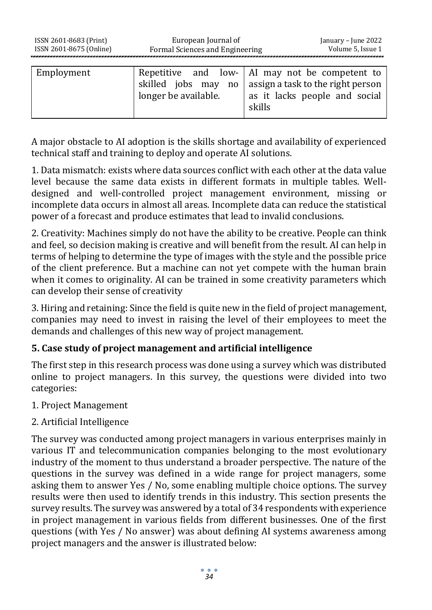| Employment | longer be available. | Repetitive and low- $\vert$ AI may not be competent to<br>skilled jobs may no $\vert$ assign a task to the right person<br>as it lacks people and social<br>skills |
|------------|----------------------|--------------------------------------------------------------------------------------------------------------------------------------------------------------------|
|------------|----------------------|--------------------------------------------------------------------------------------------------------------------------------------------------------------------|

A major obstacle to AI adoption is the skills shortage and availability of experienced technical staff and training to deploy and operate AI solutions.

1. Data mismatch: exists where data sources conflict with each other at the data value level because the same data exists in different formats in multiple tables. Welldesigned and well-controlled project management environment, missing or incomplete data occurs in almost all areas. Incomplete data can reduce the statistical power of a forecast and produce estimates that lead to invalid conclusions.

2. Creativity: Machines simply do not have the ability to be creative. People can think and feel, so decision making is creative and will benefit from the result. AI can help in terms of helping to determine the type of images with the style and the possible price of the client preference. But a machine can not yet compete with the human brain when it comes to originality. AI can be trained in some creativity parameters which can develop their sense of creativity

3. Hiring and retaining: Since the field is quite new in the field of project management, companies may need to invest in raising the level of their employees to meet the demands and challenges of this new way of project management.

### **5. Case study of project management and artificial intelligence**

The first step in this research process was done using a survey which was distributed online to project managers. In this survey, the questions were divided into two categories:

- 1. Project Management
- 2. Artificial Intelligence

The survey was conducted among project managers in various enterprises mainly in various IT and telecommunication companies belonging to the most evolutionary industry of the moment to thus understand a broader perspective. The nature of the questions in the survey was defined in a wide range for project managers, some asking them to answer Yes / No, some enabling multiple choice options. The survey results were then used to identify trends in this industry. This section presents the survey results. The survey was answered by a total of 34 respondents with experience in project management in various fields from different businesses. One of the first questions (with Yes / No answer) was about defining AI systems awareness among project managers and the answer is illustrated below: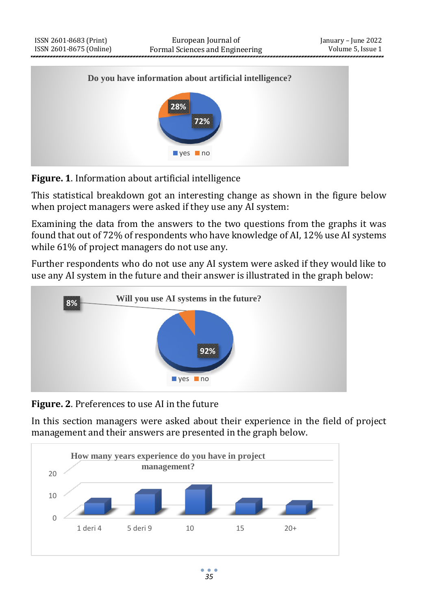

**Figure. 1**. Information about artificial intelligence

ISSN 2601-8683 (Print) ISSN 2601-8675 (Online)

This statistical breakdown got an interesting change as shown in the figure below when project managers were asked if they use any AI system:

Examining the data from the answers to the two questions from the graphs it was found that out of 72% of respondents who have knowledge of AI, 12% use AI systems while 61% of project managers do not use any.

Further respondents who do not use any AI system were asked if they would like to use any AI system in the future and their answer is illustrated in the graph below:



**Figure. 2**. Preferences to use AI in the future

In this section managers were asked about their experience in the field of project management and their answers are presented in the graph below.

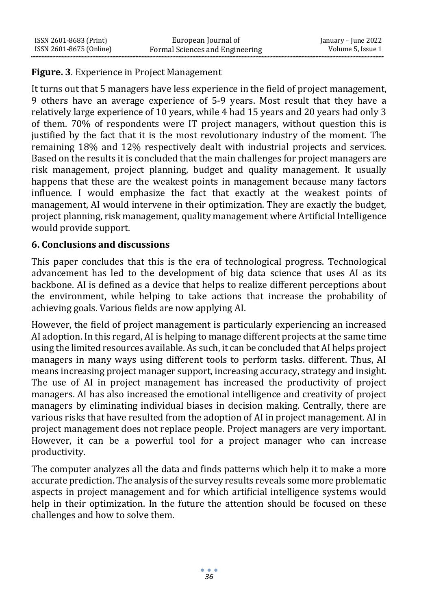### **Figure. 3**. Experience in Project Management

It turns out that 5 managers have less experience in the field of project management, 9 others have an average experience of 5-9 years. Most result that they have a relatively large experience of 10 years, while 4 had 15 years and 20 years had only 3 of them. 70% of respondents were IT project managers, without question this is justified by the fact that it is the most revolutionary industry of the moment. The remaining 18% and 12% respectively dealt with industrial projects and services. Based on the results it is concluded that the main challenges for project managers are risk management, project planning, budget and quality management. It usually happens that these are the weakest points in management because many factors influence. I would emphasize the fact that exactly at the weakest points of management, AI would intervene in their optimization. They are exactly the budget, project planning, risk management, quality management where Artificial Intelligence would provide support.

#### **6. Conclusions and discussions**

This paper concludes that this is the era of technological progress. Technological advancement has led to the development of big data science that uses AI as its backbone. AI is defined as a device that helps to realize different perceptions about the environment, while helping to take actions that increase the probability of achieving goals. Various fields are now applying AI.

However, the field of project management is particularly experiencing an increased AI adoption. In this regard, AI is helping to manage different projects at the same time using the limited resources available. As such, it can be concluded that AI helps project managers in many ways using different tools to perform tasks. different. Thus, AI means increasing project manager support, increasing accuracy, strategy and insight. The use of AI in project management has increased the productivity of project managers. AI has also increased the emotional intelligence and creativity of project managers by eliminating individual biases in decision making. Centrally, there are various risks that have resulted from the adoption of AI in project management. AI in project management does not replace people. Project managers are very important. However, it can be a powerful tool for a project manager who can increase productivity.

The computer analyzes all the data and finds patterns which help it to make a more accurate prediction. The analysis of the survey results reveals some more problematic aspects in project management and for which artificial intelligence systems would help in their optimization. In the future the attention should be focused on these challenges and how to solve them.